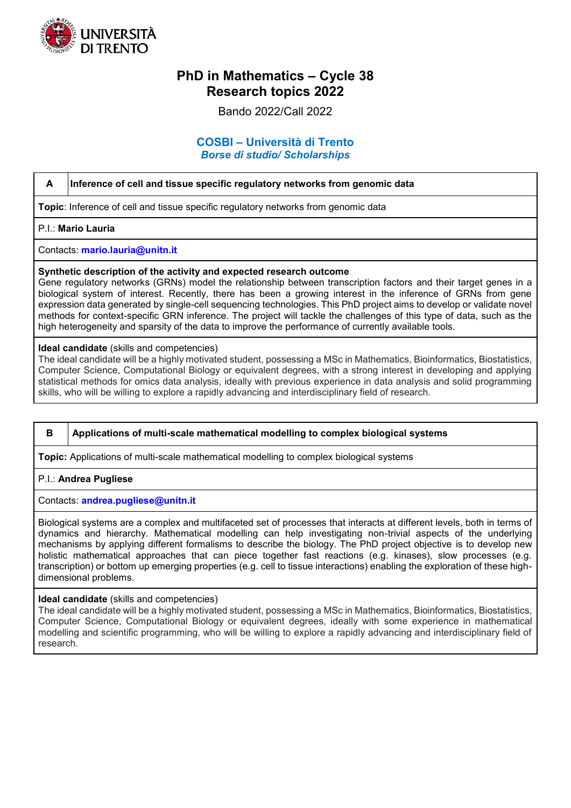

# **PhD in Mathematics – Cycle 38 Research topics 2022**

Bando 2022/Call 2022

### **COSBI – Università di Trento** *Borse di studio/ Scholarships*

### **A Inference of cell and tissue specific regulatory networks from genomic data**

**Topic**: Inference of cell and tissue specific regulatory networks from genomic data

### P.I.: **Mario Lauria**

Contacts: **mario.lauria@unitn.it**

#### **Synthetic description of the activity and expected research outcome**

Gene regulatory networks (GRNs) model the relationship between transcription factors and their target genes in a biological system of interest. Recently, there has been a growing interest in the inference of GRNs from gene expression data generated by single-cell sequencing technologies. This PhD project aims to develop or validate novel methods for context-specific GRN inference. The project will tackle the challenges of this type of data, such as the high heterogeneity and sparsity of the data to improve the performance of currently available tools.

#### **Ideal candidate** (skills and competencies)

The ideal candidate will be a highly motivated student, possessing a MSc in Mathematics, Bioinformatics, Biostatistics, Computer Science, Computational Biology or equivalent degrees, with a strong interest in developing and applying statistical methods for omics data analysis, ideally with previous experience in data analysis and solid programming skills, who will be willing to explore a rapidly advancing and interdisciplinary field of research.

### **B Applications of multi-scale mathematical modelling to complex biological systems**

**Topic:** Applications of multi-scale mathematical modelling to complex biological systems

### P.I.: **Andrea Pugliese**

Contacts: **andrea.pugliese@unitn.it**

Biological systems are a complex and multifaceted set of processes that interacts at different levels, both in terms of dynamics and hierarchy. Mathematical modelling can help investigating non-trivial aspects of the underlying mechanisms by applying different formalisms to describe the biology. The PhD project objective is to develop new holistic mathematical approaches that can piece together fast reactions (e.g. kinases), slow processes (e.g. transcription) or bottom up emerging properties (e.g. cell to tissue interactions) enabling the exploration of these highdimensional problems.

### **Ideal candidate** (skills and competencies)

The ideal candidate will be a highly motivated student, possessing a MSc in Mathematics, Bioinformatics, Biostatistics, Computer Science, Computational Biology or equivalent degrees, ideally with some experience in mathematical modelling and scientific programming, who will be willing to explore a rapidly advancing and interdisciplinary field of research.